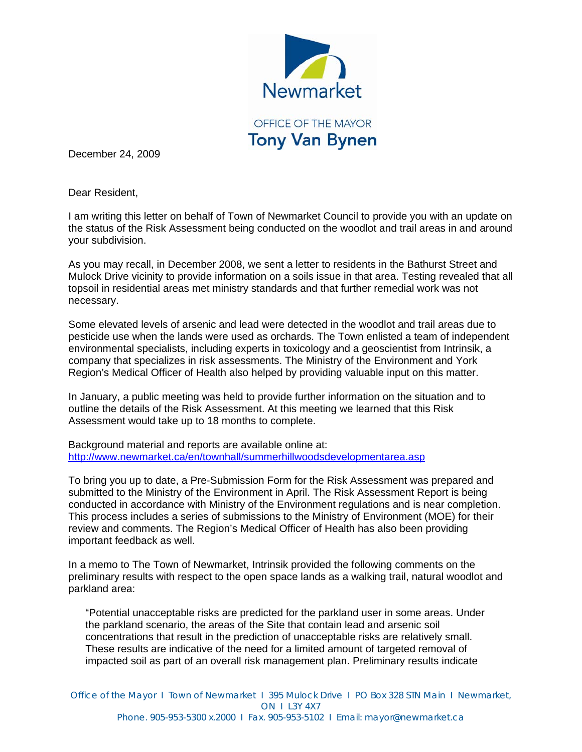

December 24, 2009

Dear Resident,

I am writing this letter on behalf of Town of Newmarket Council to provide you with an update on the status of the Risk Assessment being conducted on the woodlot and trail areas in and around your subdivision.

As you may recall, in December 2008, we sent a letter to residents in the Bathurst Street and Mulock Drive vicinity to provide information on a soils issue in that area. Testing revealed that all topsoil in residential areas met ministry standards and that further remedial work was not necessary.

Some elevated levels of arsenic and lead were detected in the woodlot and trail areas due to pesticide use when the lands were used as orchards. The Town enlisted a team of independent environmental specialists, including experts in toxicology and a geoscientist from Intrinsik, a company that specializes in risk assessments. The Ministry of the Environment and York Region's Medical Officer of Health also helped by providing valuable input on this matter.

In January, a public meeting was held to provide further information on the situation and to outline the details of the Risk Assessment. At this meeting we learned that this Risk Assessment would take up to 18 months to complete.

Background material and reports are available online at: <http://www.newmarket.ca/en/townhall/summerhillwoodsdevelopmentarea.asp>

To bring you up to date, a Pre-Submission Form for the Risk Assessment was prepared and submitted to the Ministry of the Environment in April. The Risk Assessment Report is being conducted in accordance with Ministry of the Environment regulations and is near completion. This process includes a series of submissions to the Ministry of Environment (MOE) for their review and comments. The Region's Medical Officer of Health has also been providing important feedback as well.

In a memo to The Town of Newmarket, Intrinsik provided the following comments on the preliminary results with respect to the open space lands as a walking trail, natural woodlot and parkland area:

"Potential unacceptable risks are predicted for the parkland user in some areas. Under the parkland scenario, the areas of the Site that contain lead and arsenic soil concentrations that result in the prediction of unacceptable risks are relatively small. These results are indicative of the need for a limited amount of targeted removal of impacted soil as part of an overall risk management plan. Preliminary results indicate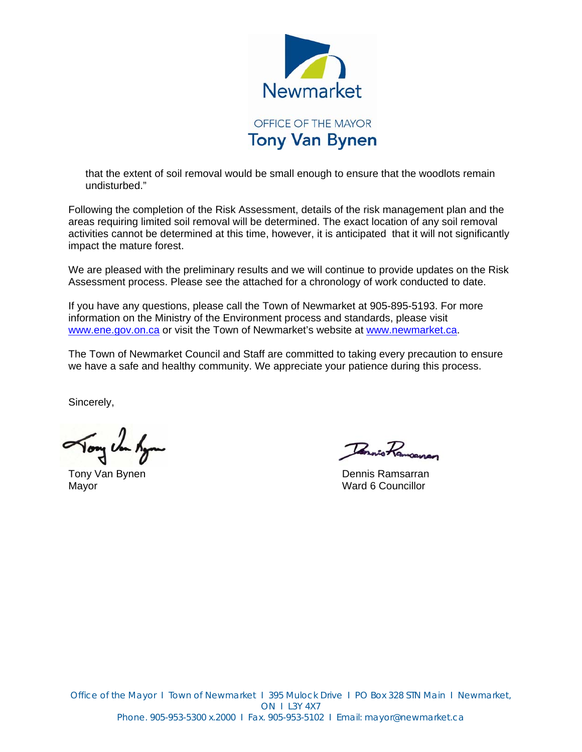

that the extent of soil removal would be small enough to ensure that the woodlots remain undisturbed."

Following the completion of the Risk Assessment, details of the risk management plan and the areas requiring limited soil removal will be determined. The exact location of any soil removal activities cannot be determined at this time, however, it is anticipated that it will not significantly impact the mature forest.

We are pleased with the preliminary results and we will continue to provide updates on the Risk Assessment process. Please see the attached for a chronology of work conducted to date.

If you have any questions, please call the Town of Newmarket at 905-895-5193. For more information on the Ministry of the Environment process and standards, please visit [www.ene.gov.on.ca](http://www.ene.gov.on.ca/) or visit the Town of Newmarket's website at [www.newmarket.ca.](http://www.newmarket.ca/)

The Town of Newmarket Council and Staff are committed to taking every precaution to ensure we have a safe and healthy community. We appreciate your patience during this process.

Sincerely,

Tony Un Ky

Tennis Ramoanan

Tony Van Bynen Dennis Ramsarran Dennis Ramsarran Mayor Ward 6 Councillor